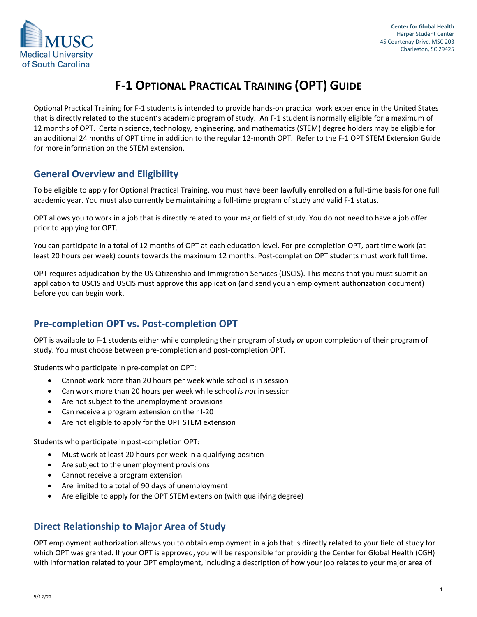

# **F-1 OPTIONAL PRACTICAL TRAINING (OPT) GUIDE**

Optional Practical Training for F-1 students is intended to provide hands-on practical work experience in the United States that is directly related to the student's academic program of study. An F-1 student is normally eligible for a maximum of 12 months of OPT. Certain science, technology, engineering, and mathematics (STEM) degree holders may be eligible for an additional 24 months of OPT time in addition to the regular 12-month OPT. Refer to the F-1 OPT STEM Extension Guide for more information on the STEM extension.

# **General Overview and Eligibility**

To be eligible to apply for Optional Practical Training, you must have been lawfully enrolled on a full-time basis for one full academic year. You must also currently be maintaining a full-time program of study and valid F-1 status.

OPT allows you to work in a job that is directly related to your major field of study. You do not need to have a job offer prior to applying for OPT.

You can participate in a total of 12 months of OPT at each education level. For pre-completion OPT, part time work (at least 20 hours per week) counts towards the maximum 12 months. Post-completion OPT students must work full time.

OPT requires adjudication by the US Citizenship and Immigration Services (USCIS). This means that you must submit an application to USCIS and USCIS must approve this application (and send you an employment authorization document) before you can begin work.

# **Pre-completion OPT vs. Post-completion OPT**

OPT is available to F-1 students either while completing their program of study *or* upon completion of their program of study. You must choose between pre-completion and post-completion OPT.

Students who participate in pre-completion OPT:

- Cannot work more than 20 hours per week while school is in session
- Can work more than 20 hours per week while school *is not* in session
- Are not subject to the unemployment provisions
- Can receive a program extension on their I-20
- Are not eligible to apply for the OPT STEM extension

Students who participate in post-completion OPT:

- Must work at least 20 hours per week in a qualifying position
- Are subject to the unemployment provisions
- Cannot receive a program extension
- Are limited to a total of 90 days of unemployment
- Are eligible to apply for the OPT STEM extension (with qualifying degree)

# **Direct Relationship to Major Area of Study**

OPT employment authorization allows you to obtain employment in a job that is directly related to your field of study for which OPT was granted. If your OPT is approved, you will be responsible for providing the Center for Global Health (CGH) with information related to your OPT employment, including a description of how your job relates to your major area of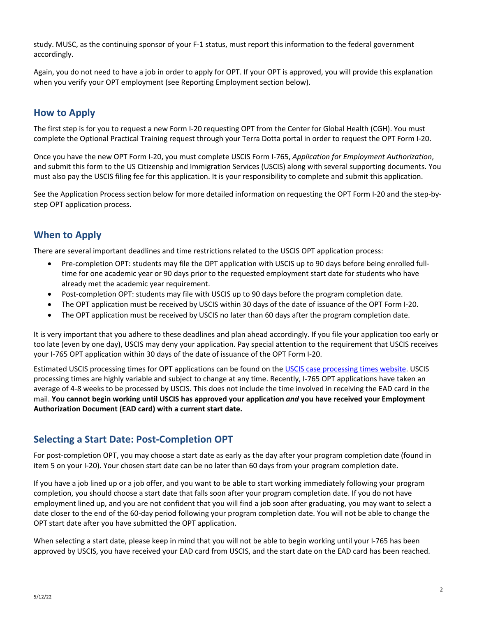study. MUSC, as the continuing sponsor of your F-1 status, must report this information to the federal government accordingly.

Again, you do not need to have a job in order to apply for OPT. If your OPT is approved, you will provide this explanation when you verify your OPT employment (see Reporting Employment section below).

# **How to Apply**

The first step is for you to request a new Form I-20 requesting OPT from the Center for Global Health (CGH). You must complete the Optional Practical Training request through your Terra Dotta portal in order to request the OPT Form I-20.

Once you have the new OPT Form I-20, you must complete USCIS Form I-765, *Application for Employment Authorization*, and submit this form to the US Citizenship and Immigration Services (USCIS) along with several supporting documents. You must also pay the USCIS filing fee for this application. It is your responsibility to complete and submit this application.

See the Application Process section below for more detailed information on requesting the OPT Form I-20 and the step-bystep OPT application process.

# **When to Apply**

There are several important deadlines and time restrictions related to the USCIS OPT application process:

- Pre-completion OPT: students may file the OPT application with USCIS up to 90 days before being enrolled fulltime for one academic year or 90 days prior to the requested employment start date for students who have already met the academic year requirement.
- Post-completion OPT: students may file with USCIS up to 90 days before the program completion date.
- The OPT application must be received by USCIS within 30 days of the date of issuance of the OPT Form I-20.
- The OPT application must be received by USCIS no later than 60 days after the program completion date.

It is very important that you adhere to these deadlines and plan ahead accordingly. If you file your application too early or too late (even by one day), USCIS may deny your application. Pay special attention to the requirement that USCIS receives your I-765 OPT application within 30 days of the date of issuance of the OPT Form I-20.

Estimated USCIS processing times for OPT applications can be found on the [USCIS case processing times website.](https://egov.uscis.gov/processing-times/) USCIS processing times are highly variable and subject to change at any time. Recently, I-765 OPT applications have taken an average of 4-8 weeks to be processed by USCIS. This does not include the time involved in receiving the EAD card in the mail. **You cannot begin working until USCIS has approved your application** *and* **you have received your Employment Authorization Document (EAD card) with a current start date.**

# **Selecting a Start Date: Post-Completion OPT**

For post-completion OPT, you may choose a start date as early as the day after your program completion date (found in item 5 on your I-20). Your chosen start date can be no later than 60 days from your program completion date.

If you have a job lined up or a job offer, and you want to be able to start working immediately following your program completion, you should choose a start date that falls soon after your program completion date. If you do not have employment lined up, and you are not confident that you will find a job soon after graduating, you may want to select a date closer to the end of the 60-day period following your program completion date. You will not be able to change the OPT start date after you have submitted the OPT application.

When selecting a start date, please keep in mind that you will not be able to begin working until your I-765 has been approved by USCIS, you have received your EAD card from USCIS, and the start date on the EAD card has been reached.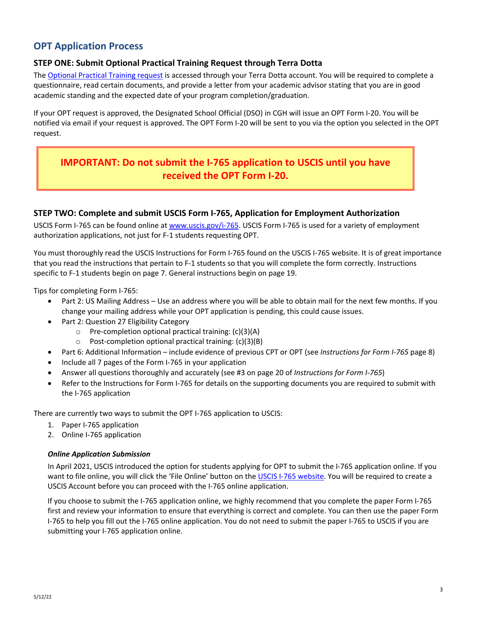# **OPT Application Process**

#### **STEP ONE: Submit Optional Practical Training Request through Terra Dotta**

The [Optional Practical Training request](https://musc-isss.terradotta.com/index.cfm?FuseAction=PublicDocuments.View&File_ID=74194) is accessed through your Terra Dotta account. You will be required to complete a questionnaire, read certain documents, and provide a letter from your academic advisor stating that you are in good academic standing and the expected date of your program completion/graduation.

If your OPT request is approved, the Designated School Official (DSO) in CGH will issue an OPT Form I-20. You will be notified via email if your request is approved. The OPT Form I-20 will be sent to you via the option you selected in the OPT request.

# **IMPORTANT: Do not submit the I-765 application to USCIS until you have received the OPT Form I-20.**

#### **STEP TWO: Complete and submit USCIS Form I-765, Application for Employment Authorization**

USCIS Form I-765 can be found online at [www.uscis.gov/i-765.](http://www.uscis.gov/i-765) USCIS Form I-765 is used for a variety of employment authorization applications, not just for F-1 students requesting OPT.

You must thoroughly read the USCIS Instructions for Form I-765 found on the USCIS I-765 website. It is of great importance that you read the instructions that pertain to F-1 students so that you will complete the form correctly. Instructions specific to F-1 students begin on page 7. General instructions begin on page 19.

Tips for completing Form I-765:

- Part 2: US Mailing Address Use an address where you will be able to obtain mail for the next few months. If you change your mailing address while your OPT application is pending, this could cause issues.
- Part 2: Question 27 Eligibility Category
	- o Pre-completion optional practical training: (c)(3)(A)
	- $\circ$  Post-completion optional practical training: (c)(3)(B)
- Part 6: Additional Information include evidence of previous CPT or OPT (see *Instructions for Form I-765* page 8)
- Include all 7 pages of the Form I-765 in your application
- Answer all questions thoroughly and accurately (see #3 on page 20 of *Instructions for Form I-765*)
- Refer to the Instructions for Form I-765 for details on the supporting documents you are required to submit with the I-765 application

There are currently two ways to submit the OPT I-765 application to USCIS:

- 1. Paper I-765 application
- 2. Online I-765 application

#### *Online Application Submission*

In April 2021, USCIS introduced the option for students applying for OPT to submit the I-765 application online. If you want to file online, you will click the 'File Online' button on the [USCIS I-765 website.](http://www.uscis.gov/i-765) You will be required to create a USCIS Account before you can proceed with the I-765 online application.

If you choose to submit the I-765 application online, we highly recommend that you complete the paper Form I-765 first and review your information to ensure that everything is correct and complete. You can then use the paper Form I-765 to help you fill out the I-765 online application. You do not need to submit the paper I-765 to USCIS if you are submitting your I-765 application online.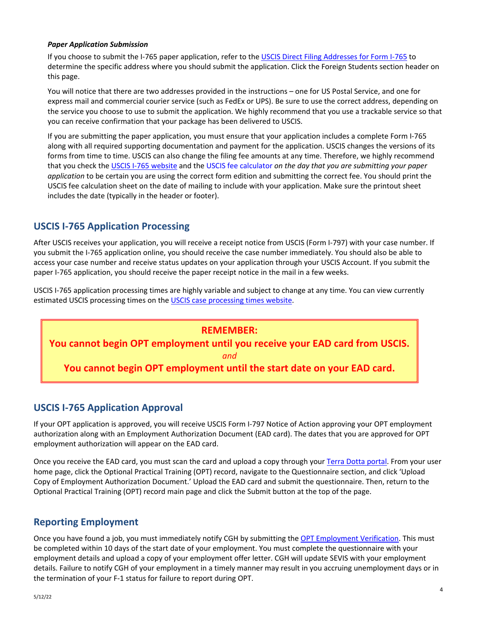#### *Paper Application Submission*

If you choose to submit the I-765 paper application, refer to th[e USCIS Direct Filing Addresses for Form I-765](https://www.uscis.gov/i-765-addresses) to determine the specific address where you should submit the application. Click the Foreign Students section header on this page.

You will notice that there are two addresses provided in the instructions – one for US Postal Service, and one for express mail and commercial courier service (such as FedEx or UPS). Be sure to use the correct address, depending on the service you choose to use to submit the application. We highly recommend that you use a trackable service so that you can receive confirmation that your package has been delivered to USCIS.

If you are submitting the paper application, you must ensure that your application includes a complete Form I-765 along with all required supporting documentation and payment for the application. USCIS changes the versions of its forms from time to time. USCIS can also change the filing fee amounts at any time. Therefore, we highly recommend that you check th[e USCIS I-765 website](https://www.uscis.gov/i-765) and the [USCIS fee calculator](https://www.uscis.gov/feecalculator) *on the day that you are submitting your paper application* to be certain you are using the correct form edition and submitting the correct fee. You should print the USCIS fee calculation sheet on the date of mailing to include with your application. Make sure the printout sheet includes the date (typically in the header or footer).

### **USCIS I-765 Application Processing**

After USCIS receives your application, you will receive a receipt notice from USCIS (Form I-797) with your case number. If you submit the I-765 application online, you should receive the case number immediately. You should also be able to access your case number and receive status updates on your application through your USCIS Account. If you submit the paper I-765 application, you should receive the paper receipt notice in the mail in a few weeks.

USCIS I-765 application processing times are highly variable and subject to change at any time. You can view currently estimated USCIS processing times on th[e USCIS case processing times website.](https://egov.uscis.gov/processing-times/)

#### **REMEMBER:**

**You cannot begin OPT employment until you receive your EAD card from USCIS.**

*and*

**You cannot begin OPT employment until the start date on your EAD card.**

# **USCIS I-765 Application Approval**

If your OPT application is approved, you will receive USCIS Form I-797 Notice of Action approving your OPT employment authorization along with an Employment Authorization Document (EAD card). The dates that you are approved for OPT employment authorization will appear on the EAD card.

Once you receive the EAD card, you must scan the card and upload a copy through you[r Terra Dotta portal.](https://musc-isss.terradotta.com/) From your user home page, click the Optional Practical Training (OPT) record, navigate to the Questionnaire section, and click 'Upload Copy of Employment Authorization Document.' Upload the EAD card and submit the questionnaire. Then, return to the Optional Practical Training (OPT) record main page and click the Submit button at the top of the page.

### **Reporting Employment**

Once you have found a job, you must immediately notify CGH by submitting the [OPT Employment Verification.](https://musc-isss.terradotta.com/index.cfm?FuseAction=PublicDocuments.View&File_ID=74208) This must be completed within 10 days of the start date of your employment. You must complete the questionnaire with your employment details and upload a copy of your employment offer letter. CGH will update SEVIS with your employment details. Failure to notify CGH of your employment in a timely manner may result in you accruing unemployment days or in the termination of your F-1 status for failure to report during OPT.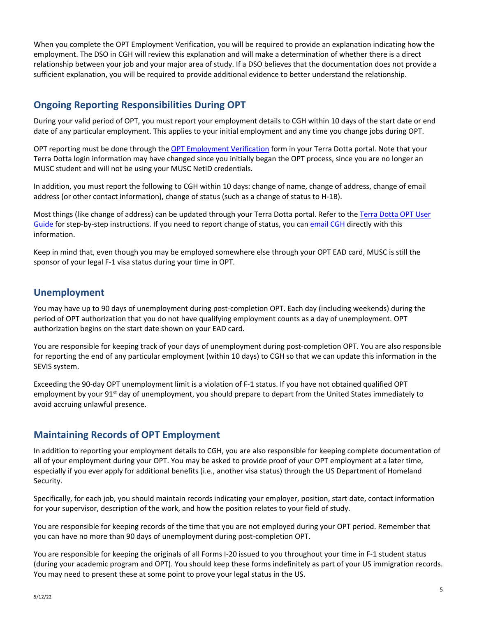When you complete the OPT Employment Verification, you will be required to provide an explanation indicating how the employment. The DSO in CGH will review this explanation and will make a determination of whether there is a direct relationship between your job and your major area of study. If a DSO believes that the documentation does not provide a sufficient explanation, you will be required to provide additional evidence to better understand the relationship.

# **Ongoing Reporting Responsibilities During OPT**

During your valid period of OPT, you must report your employment details to CGH within 10 days of the start date or end date of any particular employment. This applies to your initial employment and any time you change jobs during OPT.

OPT reporting must be done through the [OPT Employment Verification](https://musc-isss.terradotta.com/index.cfm?FuseAction=PublicDocuments.View&File_ID=74208) form in your Terra Dotta portal. Note that your Terra Dotta login information may have changed since you initially began the OPT process, since you are no longer an MUSC student and will not be using your MUSC NetID credentials.

In addition, you must report the following to CGH within 10 days: change of name, change of address, change of email address (or other contact information), change of status (such as a change of status to H-1B).

Most things (like change of address) can be updated through your Terra Dotta portal. Refer to the [Terra Dotta OPT User](https://musc-isss.terradotta.com/_customtags/ct_FileRetrieve.cfm?File_ID=115216)  [Guide](https://musc-isss.terradotta.com/_customtags/ct_FileRetrieve.cfm?File_ID=115216) for step-by-step instructions. If you need to report change of status, you ca[n email CGH](mailto:immigration@musc.edu) directly with this information.

Keep in mind that, even though you may be employed somewhere else through your OPT EAD card, MUSC is still the sponsor of your legal F-1 visa status during your time in OPT.

# **Unemployment**

You may have up to 90 days of unemployment during post-completion OPT. Each day (including weekends) during the period of OPT authorization that you do not have qualifying employment counts as a day of unemployment. OPT authorization begins on the start date shown on your EAD card.

You are responsible for keeping track of your days of unemployment during post-completion OPT. You are also responsible for reporting the end of any particular employment (within 10 days) to CGH so that we can update this information in the SEVIS system.

Exceeding the 90-day OPT unemployment limit is a violation of F-1 status. If you have not obtained qualified OPT employment by your 91<sup>st</sup> day of unemployment, you should prepare to depart from the United States immediately to avoid accruing unlawful presence.

# **Maintaining Records of OPT Employment**

In addition to reporting your employment details to CGH, you are also responsible for keeping complete documentation of all of your employment during your OPT. You may be asked to provide proof of your OPT employment at a later time, especially if you ever apply for additional benefits (i.e., another visa status) through the US Department of Homeland Security.

Specifically, for each job, you should maintain records indicating your employer, position, start date, contact information for your supervisor, description of the work, and how the position relates to your field of study.

You are responsible for keeping records of the time that you are not employed during your OPT period. Remember that you can have no more than 90 days of unemployment during post-completion OPT.

You are responsible for keeping the originals of all Forms I-20 issued to you throughout your time in F-1 student status (during your academic program and OPT). You should keep these forms indefinitely as part of your US immigration records. You may need to present these at some point to prove your legal status in the US.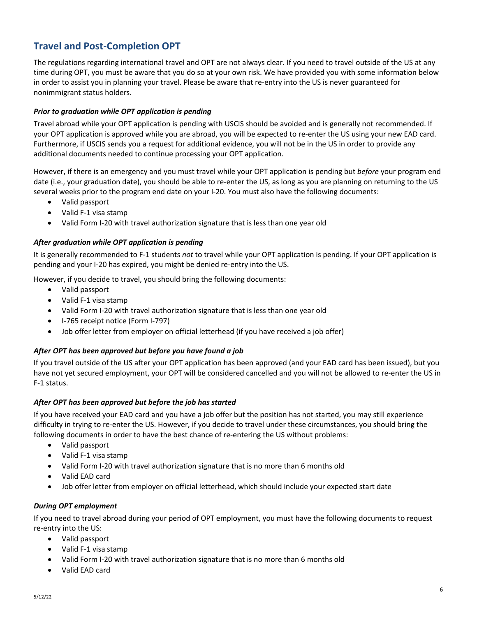# **Travel and Post-Completion OPT**

The regulations regarding international travel and OPT are not always clear. If you need to travel outside of the US at any time during OPT, you must be aware that you do so at your own risk. We have provided you with some information below in order to assist you in planning your travel. Please be aware that re-entry into the US is never guaranteed for nonimmigrant status holders.

#### *Prior to graduation while OPT application is pending*

Travel abroad while your OPT application is pending with USCIS should be avoided and is generally not recommended. If your OPT application is approved while you are abroad, you will be expected to re-enter the US using your new EAD card. Furthermore, if USCIS sends you a request for additional evidence, you will not be in the US in order to provide any additional documents needed to continue processing your OPT application.

However, if there is an emergency and you must travel while your OPT application is pending but *before* your program end date (i.e., your graduation date), you should be able to re-enter the US, as long as you are planning on returning to the US several weeks prior to the program end date on your I-20. You must also have the following documents:

- Valid passport
- Valid F-1 visa stamp
- Valid Form I-20 with travel authorization signature that is less than one year old

#### *After graduation while OPT application is pending*

It is generally recommended to F-1 students *not* to travel while your OPT application is pending. If your OPT application is pending and your I-20 has expired, you might be denied re-entry into the US.

However, if you decide to travel, you should bring the following documents:

- Valid passport
- Valid F-1 visa stamp
- Valid Form I-20 with travel authorization signature that is less than one year old
- I-765 receipt notice (Form I-797)
- Job offer letter from employer on official letterhead (if you have received a job offer)

#### *After OPT has been approved but before you have found a job*

If you travel outside of the US after your OPT application has been approved (and your EAD card has been issued), but you have not yet secured employment, your OPT will be considered cancelled and you will not be allowed to re-enter the US in F-1 status.

#### *After OPT has been approved but before the job has started*

If you have received your EAD card and you have a job offer but the position has not started, you may still experience difficulty in trying to re-enter the US. However, if you decide to travel under these circumstances, you should bring the following documents in order to have the best chance of re-entering the US without problems:

- Valid passport
- Valid F-1 visa stamp
- Valid Form I-20 with travel authorization signature that is no more than 6 months old
- Valid EAD card
- Job offer letter from employer on official letterhead, which should include your expected start date

#### *During OPT employment*

If you need to travel abroad during your period of OPT employment, you must have the following documents to request re-entry into the US:

- Valid passport
- Valid F-1 visa stamp
- Valid Form I-20 with travel authorization signature that is no more than 6 months old
- Valid EAD card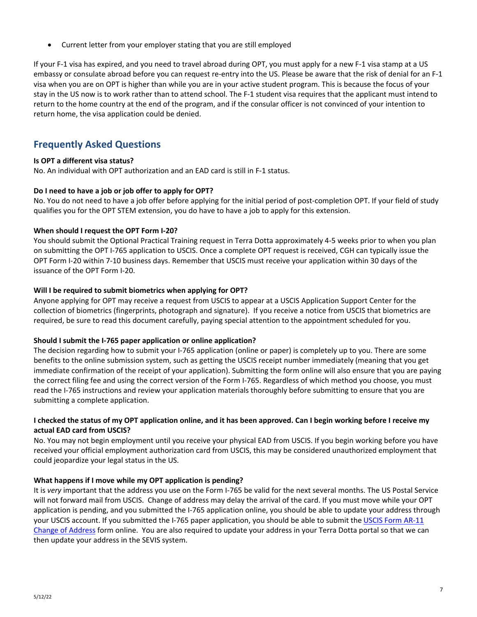• Current letter from your employer stating that you are still employed

If your F-1 visa has expired, and you need to travel abroad during OPT, you must apply for a new F-1 visa stamp at a US embassy or consulate abroad before you can request re-entry into the US. Please be aware that the risk of denial for an F-1 visa when you are on OPT is higher than while you are in your active student program. This is because the focus of your stay in the US now is to work rather than to attend school. The F-1 student visa requires that the applicant must intend to return to the home country at the end of the program, and if the consular officer is not convinced of your intention to return home, the visa application could be denied.

# **Frequently Asked Questions**

#### **Is OPT a different visa status?**

No. An individual with OPT authorization and an EAD card is still in F-1 status.

#### **Do I need to have a job or job offer to apply for OPT?**

No. You do not need to have a job offer before applying for the initial period of post-completion OPT. If your field of study qualifies you for the OPT STEM extension, you do have to have a job to apply for this extension.

#### **When should I request the OPT Form I-20?**

You should submit the Optional Practical Training request in Terra Dotta approximately 4-5 weeks prior to when you plan on submitting the OPT I-765 application to USCIS. Once a complete OPT request is received, CGH can typically issue the OPT Form I-20 within 7-10 business days. Remember that USCIS must receive your application within 30 days of the issuance of the OPT Form I-20.

#### **Will I be required to submit biometrics when applying for OPT?**

Anyone applying for OPT may receive a request from USCIS to appear at a USCIS Application Support Center for the collection of biometrics (fingerprints, photograph and signature). If you receive a notice from USCIS that biometrics are required, be sure to read this document carefully, paying special attention to the appointment scheduled for you.

#### **Should I submit the I-765 paper application or online application?**

The decision regarding how to submit your I-765 application (online or paper) is completely up to you. There are some benefits to the online submission system, such as getting the USCIS receipt number immediately (meaning that you get immediate confirmation of the receipt of your application). Submitting the form online will also ensure that you are paying the correct filing fee and using the correct version of the Form I-765. Regardless of which method you choose, you must read the I-765 instructions and review your application materials thoroughly before submitting to ensure that you are submitting a complete application.

#### **I checked the status of my OPT application online, and it has been approved. Can I begin working before I receive my actual EAD card from USCIS?**

No. You may not begin employment until you receive your physical EAD from USCIS. If you begin working before you have received your official employment authorization card from USCIS, this may be considered unauthorized employment that could jeopardize your legal status in the US.

#### **What happens if I move while my OPT application is pending?**

It is *very* important that the address you use on the Form I-765 be valid for the next several months. The US Postal Service will not forward mail from USCIS. Change of address may delay the arrival of the card. If you must move while your OPT application is pending, and you submitted the I-765 application online, you should be able to update your address through your USCIS account. If you submitted the I-765 paper application, you should be able to submit th[e USCIS Form AR-11](https://www.uscis.gov/ar-11)  [Change of Address](https://www.uscis.gov/ar-11) form online. You are also required to update your address in your Terra Dotta portal so that we can then update your address in the SEVIS system.